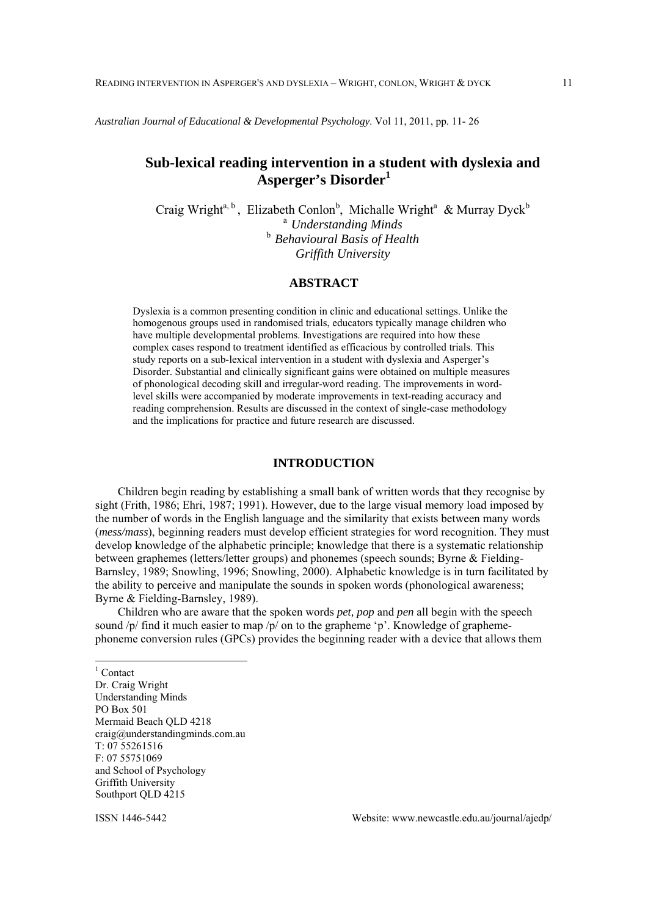*Australian Journal of Educational & Developmental Psychology*. Vol 11, 2011, pp. 11- 26

# **Sub-lexical reading intervention in a student with dyslexia and Asperger's Disorder<sup>1</sup>**

Craig Wright<sup>a, b</sup>, Elizabeth Conlon<sup>b</sup>, Michalle Wright<sup>a</sup> & Murray Dyck<sup>b</sup> <sup>a</sup>*Understanding Minds* <sup>b</sup>*Behavioural Basis of Health Griffith University*

# **ABSTRACT**

Dyslexia is a common presenting condition in clinic and educational settings. Unlike the homogenous groups used in randomised trials, educators typically manage children who have multiple developmental problems. Investigations are required into how these complex cases respond to treatment identified as efficacious by controlled trials. This study reports on a sub-lexical intervention in a student with dyslexia and Asperger's Disorder. Substantial and clinically significant gains were obtained on multiple measures of phonological decoding skill and irregular-word reading. The improvements in wordlevel skills were accompanied by moderate improvements in text-reading accuracy and reading comprehension. Results are discussed in the context of single-case methodology and the implications for practice and future research are discussed.

# **INTRODUCTION**

Children begin reading by establishing a small bank of written words that they recognise by sight (Frith, 1986; Ehri, 1987; 1991). However, due to the large visual memory load imposed by the number of words in the English language and the similarity that exists between many words (*mess/mass*), beginning readers must develop efficient strategies for word recognition. They must develop knowledge of the alphabetic principle; knowledge that there is a systematic relationship between graphemes (letters/letter groups) and phonemes (speech sounds; Byrne & Fielding-Barnsley, 1989; Snowling, 1996; Snowling, 2000). Alphabetic knowledge is in turn facilitated by the ability to perceive and manipulate the sounds in spoken words (phonological awareness; Byrne & Fielding-Barnsley, 1989).

Children who are aware that the spoken words *pet, pop* and *pen* all begin with the speech sound  $/p/$  find it much easier to map  $/p/$  on to the grapheme 'p'. Knowledge of graphemephoneme conversion rules (GPCs) provides the beginning reader with a device that allows them

<sup>1</sup> Contact Dr. Craig Wright Understanding Minds PO Box 501 Mermaid Beach QLD 4218 craig@understandingminds.com.au T: 07 55261516 F: 07 55751069 and School of Psychology Griffith University Southport OLD 4215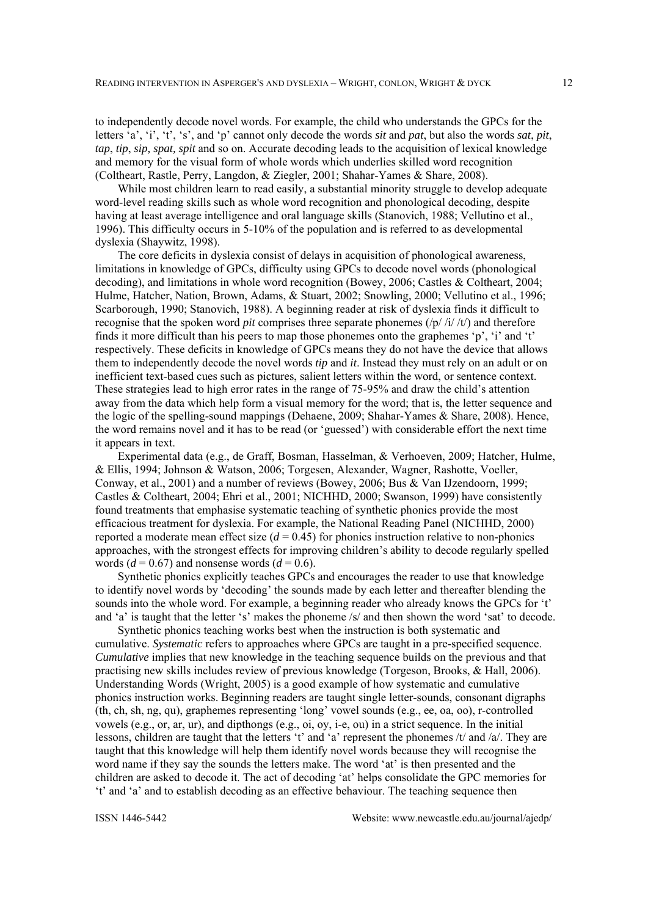to independently decode novel words. For example, the child who understands the GPCs for the letters 'a', 'i', 't', 's', and 'p' cannot only decode the words *sit* and *pat*, but also the words *sat*, *pit*, *tap*, *tip*, *sip, spat, spit* and so on. Accurate decoding leads to the acquisition of lexical knowledge and memory for the visual form of whole words which underlies skilled word recognition (Coltheart, Rastle, Perry, Langdon, & Ziegler, 2001; Shahar-Yames & Share, 2008).

While most children learn to read easily, a substantial minority struggle to develop adequate word-level reading skills such as whole word recognition and phonological decoding, despite having at least average intelligence and oral language skills (Stanovich, 1988; Vellutino et al., 1996). This difficulty occurs in 5-10% of the population and is referred to as developmental dyslexia (Shaywitz, 1998).

The core deficits in dyslexia consist of delays in acquisition of phonological awareness, limitations in knowledge of GPCs, difficulty using GPCs to decode novel words (phonological decoding), and limitations in whole word recognition (Bowey, 2006; Castles & Coltheart, 2004; Hulme, Hatcher, Nation, Brown, Adams, & Stuart, 2002; Snowling, 2000; Vellutino et al., 1996; Scarborough, 1990; Stanovich, 1988). A beginning reader at risk of dyslexia finds it difficult to recognise that the spoken word *pit* comprises three separate phonemes  $(|p|/i|/t)$  and therefore finds it more difficult than his peers to map those phonemes onto the graphemes 'p', 'i' and 't' respectively. These deficits in knowledge of GPCs means they do not have the device that allows them to independently decode the novel words *tip* and *it*. Instead they must rely on an adult or on inefficient text-based cues such as pictures, salient letters within the word, or sentence context. These strategies lead to high error rates in the range of 75-95% and draw the child's attention away from the data which help form a visual memory for the word; that is, the letter sequence and the logic of the spelling-sound mappings (Dehaene, 2009; Shahar-Yames & Share, 2008). Hence, the word remains novel and it has to be read (or 'guessed') with considerable effort the next time it appears in text.

Experimental data (e.g., de Graff, Bosman, Hasselman, & Verhoeven, 2009; Hatcher, Hulme, & Ellis, 1994; Johnson & Watson, 2006; Torgesen, Alexander, Wagner, Rashotte, Voeller, Conway, et al., 2001) and a number of reviews (Bowey, 2006; Bus & Van IJzendoorn, 1999; Castles & Coltheart, 2004; Ehri et al., 2001; NICHHD, 2000; Swanson, 1999) have consistently found treatments that emphasise systematic teaching of synthetic phonics provide the most efficacious treatment for dyslexia. For example, the National Reading Panel (NICHHD, 2000) reported a moderate mean effect size  $(d = 0.45)$  for phonics instruction relative to non-phonics approaches, with the strongest effects for improving children's ability to decode regularly spelled words ( $d = 0.67$ ) and nonsense words ( $d = 0.6$ ).

Synthetic phonics explicitly teaches GPCs and encourages the reader to use that knowledge to identify novel words by 'decoding' the sounds made by each letter and thereafter blending the sounds into the whole word. For example, a beginning reader who already knows the GPCs for 't' and 'a' is taught that the letter 's' makes the phoneme /s/ and then shown the word 'sat' to decode.

Synthetic phonics teaching works best when the instruction is both systematic and cumulative. *Systematic* refers to approaches where GPCs are taught in a pre-specified sequence. *Cumulative* implies that new knowledge in the teaching sequence builds on the previous and that practising new skills includes review of previous knowledge (Torgeson, Brooks, & Hall, 2006). Understanding Words (Wright, 2005) is a good example of how systematic and cumulative phonics instruction works. Beginning readers are taught single letter-sounds, consonant digraphs (th, ch, sh, ng, qu), graphemes representing 'long' vowel sounds (e.g., ee, oa, oo), r-controlled vowels (e.g., or, ar, ur), and dipthongs (e.g., oi, oy, i-e, ou) in a strict sequence. In the initial lessons, children are taught that the letters 't' and 'a' represent the phonemes /t/ and /a/. They are taught that this knowledge will help them identify novel words because they will recognise the word name if they say the sounds the letters make. The word 'at' is then presented and the children are asked to decode it. The act of decoding 'at' helps consolidate the GPC memories for 't' and 'a' and to establish decoding as an effective behaviour. The teaching sequence then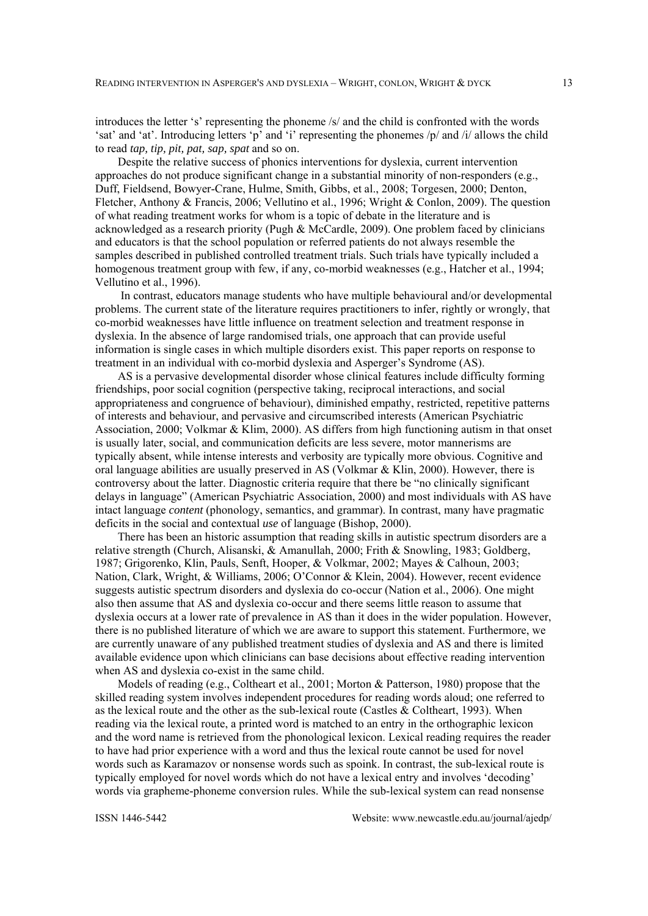introduces the letter 's' representing the phoneme /s/ and the child is confronted with the words 'sat' and 'at'. Introducing letters 'p' and 'i' representing the phonemes /p/ and /i/ allows the child to read *tap, tip, pit, pat, sap, spat* and so on.

Despite the relative success of phonics interventions for dyslexia, current intervention approaches do not produce significant change in a substantial minority of non-responders (e.g., Duff, Fieldsend, Bowyer-Crane, Hulme, Smith, Gibbs, et al., 2008; Torgesen, 2000; Denton, Fletcher, Anthony & Francis, 2006; Vellutino et al., 1996; Wright & Conlon, 2009). The question of what reading treatment works for whom is a topic of debate in the literature and is acknowledged as a research priority (Pugh & McCardle, 2009). One problem faced by clinicians and educators is that the school population or referred patients do not always resemble the samples described in published controlled treatment trials. Such trials have typically included a homogenous treatment group with few, if any, co-morbid weaknesses (e.g., Hatcher et al., 1994; Vellutino et al., 1996).

 In contrast, educators manage students who have multiple behavioural and/or developmental problems. The current state of the literature requires practitioners to infer, rightly or wrongly, that co-morbid weaknesses have little influence on treatment selection and treatment response in dyslexia. In the absence of large randomised trials, one approach that can provide useful information is single cases in which multiple disorders exist. This paper reports on response to treatment in an individual with co-morbid dyslexia and Asperger's Syndrome (AS).

AS is a pervasive developmental disorder whose clinical features include difficulty forming friendships, poor social cognition (perspective taking, reciprocal interactions, and social appropriateness and congruence of behaviour), diminished empathy, restricted, repetitive patterns of interests and behaviour, and pervasive and circumscribed interests (American Psychiatric Association, 2000; Volkmar & Klim, 2000). AS differs from high functioning autism in that onset is usually later, social, and communication deficits are less severe, motor mannerisms are typically absent, while intense interests and verbosity are typically more obvious. Cognitive and oral language abilities are usually preserved in AS (Volkmar & Klin, 2000). However, there is controversy about the latter. Diagnostic criteria require that there be "no clinically significant delays in language" (American Psychiatric Association, 2000) and most individuals with AS have intact language *content* (phonology, semantics, and grammar). In contrast, many have pragmatic deficits in the social and contextual *use* of language (Bishop, 2000).

There has been an historic assumption that reading skills in autistic spectrum disorders are a relative strength (Church, Alisanski, & Amanullah, 2000; Frith & Snowling, 1983; Goldberg, 1987; Grigorenko, Klin, Pauls, Senft, Hooper, & Volkmar, 2002; Mayes & Calhoun, 2003; Nation, Clark, Wright, & Williams, 2006; O'Connor & Klein, 2004). However, recent evidence suggests autistic spectrum disorders and dyslexia do co-occur (Nation et al., 2006). One might also then assume that AS and dyslexia co-occur and there seems little reason to assume that dyslexia occurs at a lower rate of prevalence in AS than it does in the wider population. However, there is no published literature of which we are aware to support this statement. Furthermore, we are currently unaware of any published treatment studies of dyslexia and AS and there is limited available evidence upon which clinicians can base decisions about effective reading intervention when AS and dyslexia co-exist in the same child.

Models of reading (e.g., Coltheart et al., 2001; Morton & Patterson, 1980) propose that the skilled reading system involves independent procedures for reading words aloud; one referred to as the lexical route and the other as the sub-lexical route (Castles & Coltheart, 1993). When reading via the lexical route, a printed word is matched to an entry in the orthographic lexicon and the word name is retrieved from the phonological lexicon. Lexical reading requires the reader to have had prior experience with a word and thus the lexical route cannot be used for novel words such as Karamazov or nonsense words such as spoink. In contrast, the sub-lexical route is typically employed for novel words which do not have a lexical entry and involves 'decoding' words via grapheme-phoneme conversion rules. While the sub-lexical system can read nonsense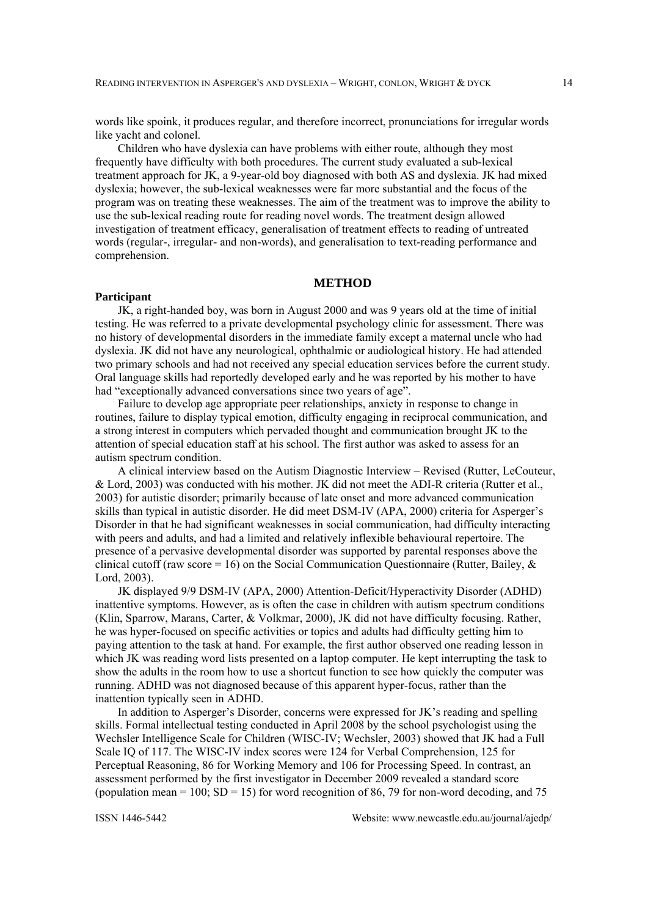words like spoink, it produces regular, and therefore incorrect, pronunciations for irregular words like yacht and colonel.

Children who have dyslexia can have problems with either route, although they most frequently have difficulty with both procedures. The current study evaluated a sub-lexical treatment approach for JK, a 9-year-old boy diagnosed with both AS and dyslexia. JK had mixed dyslexia; however, the sub-lexical weaknesses were far more substantial and the focus of the program was on treating these weaknesses. The aim of the treatment was to improve the ability to use the sub-lexical reading route for reading novel words. The treatment design allowed investigation of treatment efficacy, generalisation of treatment effects to reading of untreated words (regular-, irregular- and non-words), and generalisation to text-reading performance and comprehension.

## **METHOD**

#### **Participant**

JK, a right-handed boy, was born in August 2000 and was 9 years old at the time of initial testing. He was referred to a private developmental psychology clinic for assessment. There was no history of developmental disorders in the immediate family except a maternal uncle who had dyslexia. JK did not have any neurological, ophthalmic or audiological history. He had attended two primary schools and had not received any special education services before the current study. Oral language skills had reportedly developed early and he was reported by his mother to have had "exceptionally advanced conversations since two years of age".

Failure to develop age appropriate peer relationships, anxiety in response to change in routines, failure to display typical emotion, difficulty engaging in reciprocal communication, and a strong interest in computers which pervaded thought and communication brought JK to the attention of special education staff at his school. The first author was asked to assess for an autism spectrum condition.

A clinical interview based on the Autism Diagnostic Interview – Revised (Rutter, LeCouteur, & Lord, 2003) was conducted with his mother. JK did not meet the ADI-R criteria (Rutter et al., 2003) for autistic disorder; primarily because of late onset and more advanced communication skills than typical in autistic disorder. He did meet DSM-IV (APA, 2000) criteria for Asperger's Disorder in that he had significant weaknesses in social communication, had difficulty interacting with peers and adults, and had a limited and relatively inflexible behavioural repertoire. The presence of a pervasive developmental disorder was supported by parental responses above the clinical cutoff (raw score = 16) on the Social Communication Questionnaire (Rutter, Bailey,  $\&$ Lord, 2003).

JK displayed 9/9 DSM-IV (APA, 2000) Attention-Deficit/Hyperactivity Disorder (ADHD) inattentive symptoms. However, as is often the case in children with autism spectrum conditions (Klin, Sparrow, Marans, Carter, & Volkmar, 2000), JK did not have difficulty focusing. Rather, he was hyper-focused on specific activities or topics and adults had difficulty getting him to paying attention to the task at hand. For example, the first author observed one reading lesson in which JK was reading word lists presented on a laptop computer. He kept interrupting the task to show the adults in the room how to use a shortcut function to see how quickly the computer was running. ADHD was not diagnosed because of this apparent hyper-focus, rather than the inattention typically seen in ADHD.

In addition to Asperger's Disorder, concerns were expressed for JK's reading and spelling skills. Formal intellectual testing conducted in April 2008 by the school psychologist using the Wechsler Intelligence Scale for Children (WISC-IV; Wechsler, 2003) showed that JK had a Full Scale IQ of 117. The WISC-IV index scores were 124 for Verbal Comprehension, 125 for Perceptual Reasoning, 86 for Working Memory and 106 for Processing Speed. In contrast, an assessment performed by the first investigator in December 2009 revealed a standard score (population mean = 100;  $SD = 15$ ) for word recognition of 86, 79 for non-word decoding, and 75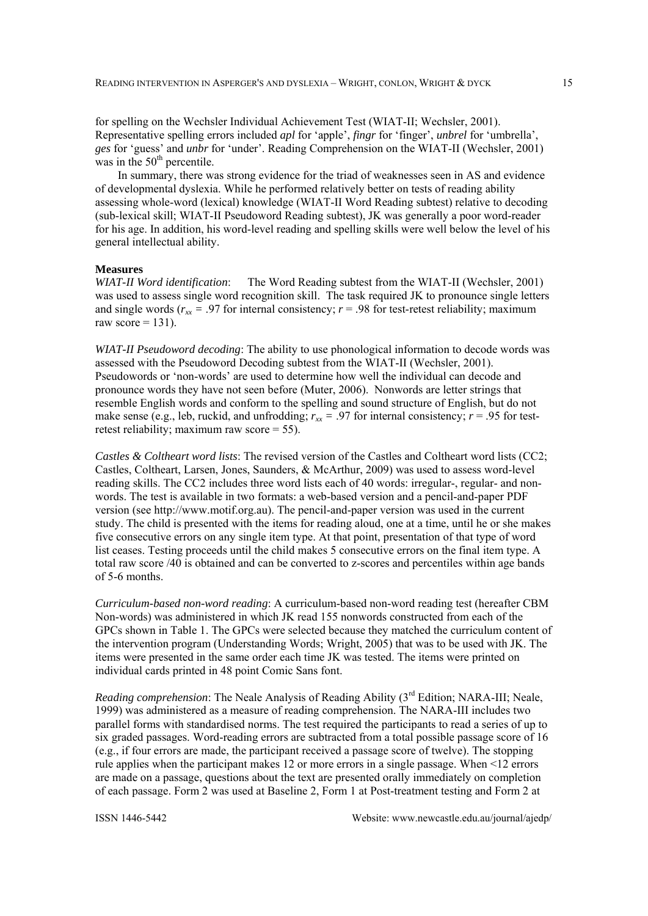for spelling on the Wechsler Individual Achievement Test (WIAT-II; Wechsler, 2001). Representative spelling errors included *apl* for 'apple', *fingr* for 'finger', *unbrel* for 'umbrella', *ges* for 'guess' and *unbr* for 'under'. Reading Comprehension on the WIAT-II (Wechsler, 2001) was in the  $50<sup>th</sup>$  percentile.

In summary, there was strong evidence for the triad of weaknesses seen in AS and evidence of developmental dyslexia. While he performed relatively better on tests of reading ability assessing whole-word (lexical) knowledge (WIAT-II Word Reading subtest) relative to decoding (sub-lexical skill; WIAT-II Pseudoword Reading subtest), JK was generally a poor word-reader for his age. In addition, his word-level reading and spelling skills were well below the level of his general intellectual ability.

#### **Measures**

*WIAT-II Word identification*: The Word Reading subtest from the WIAT-II (Wechsler, 2001) was used to assess single word recognition skill. The task required JK to pronounce single letters and single words ( $r_{xx}$  = .97 for internal consistency;  $r = .98$  for test-retest reliability; maximum raw score  $= 131$ ).

*WIAT-II Pseudoword decoding*: The ability to use phonological information to decode words was assessed with the Pseudoword Decoding subtest from the WIAT-II (Wechsler, 2001). Pseudowords or 'non-words' are used to determine how well the individual can decode and pronounce words they have not seen before (Muter, 2006). Nonwords are letter strings that resemble English words and conform to the spelling and sound structure of English, but do not make sense (e.g., leb, ruckid, and unfrodding;  $r_{xx} = .97$  for internal consistency;  $r = .95$  for testretest reliability; maximum raw score = 55).

*Castles & Coltheart word lists*: The revised version of the Castles and Coltheart word lists (CC2; Castles, Coltheart, Larsen, Jones, Saunders, & McArthur, 2009) was used to assess word-level reading skills. The CC2 includes three word lists each of 40 words: irregular-, regular- and nonwords. The test is available in two formats: a web-based version and a pencil-and-paper PDF version (see http://www.motif.org.au). The pencil-and-paper version was used in the current study. The child is presented with the items for reading aloud, one at a time, until he or she makes five consecutive errors on any single item type. At that point, presentation of that type of word list ceases. Testing proceeds until the child makes 5 consecutive errors on the final item type. A total raw score /40 is obtained and can be converted to z-scores and percentiles within age bands of 5-6 months.

*Curriculum-based non-word reading*: A curriculum-based non-word reading test (hereafter CBM Non-words) was administered in which JK read 155 nonwords constructed from each of the GPCs shown in Table 1. The GPCs were selected because they matched the curriculum content of the intervention program (Understanding Words; Wright, 2005) that was to be used with JK. The items were presented in the same order each time JK was tested. The items were printed on individual cards printed in 48 point Comic Sans font.

*Reading comprehension*: The Neale Analysis of Reading Ability (3<sup>rd</sup> Edition; NARA-III; Neale, 1999) was administered as a measure of reading comprehension. The NARA-III includes two parallel forms with standardised norms. The test required the participants to read a series of up to six graded passages. Word-reading errors are subtracted from a total possible passage score of 16 (e.g., if four errors are made, the participant received a passage score of twelve). The stopping rule applies when the participant makes 12 or more errors in a single passage. When <12 errors are made on a passage, questions about the text are presented orally immediately on completion of each passage. Form 2 was used at Baseline 2, Form 1 at Post-treatment testing and Form 2 at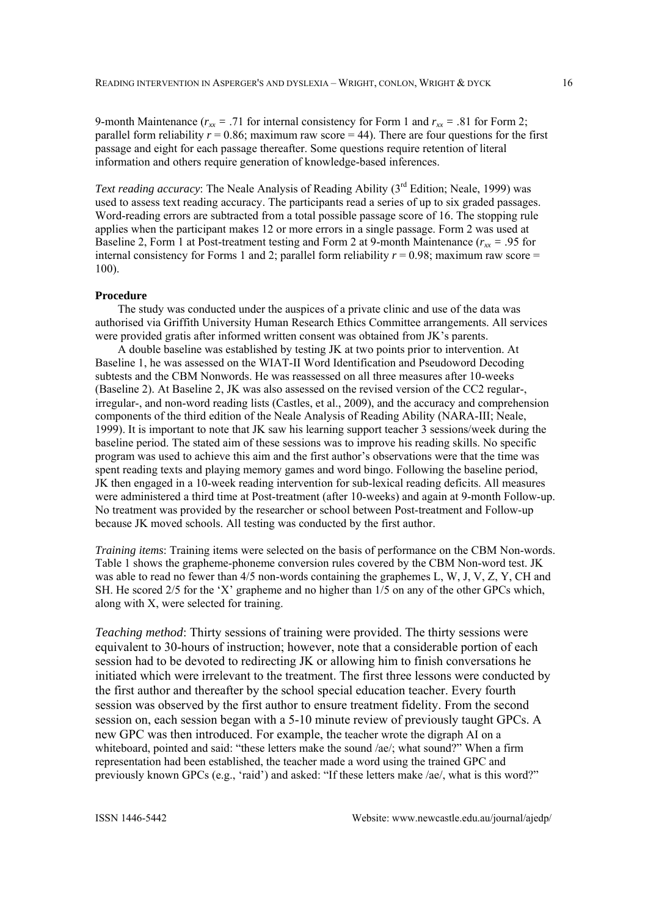9-month Maintenance ( $r_{xx} = .71$  for internal consistency for Form 1 and  $r_{xx} = .81$  for Form 2; parallel form reliability  $r = 0.86$ ; maximum raw score  $= 44$ ). There are four questions for the first passage and eight for each passage thereafter. Some questions require retention of literal information and others require generation of knowledge-based inferences.

*Text reading accuracy*: The Neale Analysis of Reading Ability (3<sup>rd</sup> Edition; Neale, 1999) was used to assess text reading accuracy. The participants read a series of up to six graded passages. Word-reading errors are subtracted from a total possible passage score of 16. The stopping rule applies when the participant makes 12 or more errors in a single passage. Form 2 was used at Baseline 2, Form 1 at Post-treatment testing and Form 2 at 9-month Maintenance ( $r_{xx}$  = .95 for internal consistency for Forms 1 and 2; parallel form reliability  $r = 0.98$ ; maximum raw score = 100).

### **Procedure**

The study was conducted under the auspices of a private clinic and use of the data was authorised via Griffith University Human Research Ethics Committee arrangements. All services were provided gratis after informed written consent was obtained from JK's parents.

A double baseline was established by testing JK at two points prior to intervention. At Baseline 1, he was assessed on the WIAT-II Word Identification and Pseudoword Decoding subtests and the CBM Nonwords. He was reassessed on all three measures after 10-weeks (Baseline 2). At Baseline 2, JK was also assessed on the revised version of the CC2 regular-, irregular-, and non-word reading lists (Castles, et al., 2009), and the accuracy and comprehension components of the third edition of the Neale Analysis of Reading Ability (NARA-III; Neale, 1999). It is important to note that JK saw his learning support teacher 3 sessions/week during the baseline period. The stated aim of these sessions was to improve his reading skills. No specific program was used to achieve this aim and the first author's observations were that the time was spent reading texts and playing memory games and word bingo. Following the baseline period, JK then engaged in a 10-week reading intervention for sub-lexical reading deficits. All measures were administered a third time at Post-treatment (after 10-weeks) and again at 9-month Follow-up. No treatment was provided by the researcher or school between Post-treatment and Follow-up because JK moved schools. All testing was conducted by the first author.

*Training items*: Training items were selected on the basis of performance on the CBM Non-words. Table 1 shows the grapheme-phoneme conversion rules covered by the CBM Non-word test. JK was able to read no fewer than 4/5 non-words containing the graphemes L, W, J, V, Z, Y, CH and SH. He scored 2/5 for the 'X' grapheme and no higher than 1/5 on any of the other GPCs which. along with X, were selected for training.

*Teaching method*: Thirty sessions of training were provided. The thirty sessions were equivalent to 30-hours of instruction; however, note that a considerable portion of each session had to be devoted to redirecting JK or allowing him to finish conversations he initiated which were irrelevant to the treatment. The first three lessons were conducted by the first author and thereafter by the school special education teacher. Every fourth session was observed by the first author to ensure treatment fidelity. From the second session on, each session began with a 5-10 minute review of previously taught GPCs. A new GPC was then introduced. For example, the teacher wrote the digraph AI on a whiteboard, pointed and said: "these letters make the sound /ae/; what sound?" When a firm representation had been established, the teacher made a word using the trained GPC and previously known GPCs (e.g., 'raid') and asked: "If these letters make /ae/, what is this word?"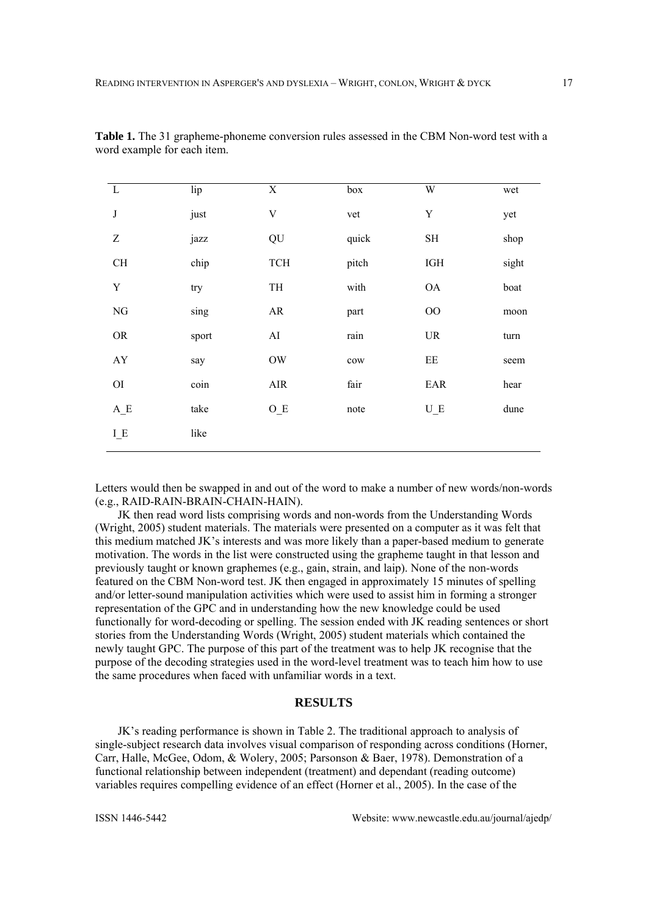| $\mathbf{L}$           | lip   | $\mathbf X$ | box   | W                                 | wet   |
|------------------------|-------|-------------|-------|-----------------------------------|-------|
| $\bf J$                | just  | $\mathbf V$ | vet   | $\mathbf Y$                       | yet   |
| $\boldsymbol{Z}$       | jazz  | QU          | quick | $\operatorname{SH}$               | shop  |
| $\rm CH$               | chip  | <b>TCH</b>  | pitch | IGH                               | sight |
| Y                      | try   | TH          | with  | <b>OA</b>                         | boat  |
| ${\rm NG}$             | sing  | AR          | part  | $00\,$                            | moon  |
| ${\rm OR}$             | sport | AI          | rain  | $\ensuremath{\mathsf{UR}}\xspace$ | turn  |
| ${\rm A}{\rm Y}$       | say   | <b>OW</b>   | cow   | $\rm{EE}$                         | seem  |
| $\overline{\text{OI}}$ | coin  | $\rm{AIR}$  | fair  | EAR                               | hear  |
| $A_E$                  | take  | $O_E$       | note  | $U_E$                             | dune  |
| $I_E$                  | like  |             |       |                                   |       |
|                        |       |             |       |                                   |       |

Table 1. The 31 grapheme-phoneme conversion rules assessed in the CBM Non-word test with a word example for each item.

Letters would then be swapped in and out of the word to make a number of new words/non-words (e.g., RAID-RAIN-BRAIN-CHAIN-HAIN).

JK then read word lists comprising words and non-words from the Understanding Words (Wright, 2005) student materials. The materials were presented on a computer as it was felt that this medium matched JK's interests and was more likely than a paper-based medium to generate motivation. The words in the list were constructed using the grapheme taught in that lesson and previously taught or known graphemes (e.g., gain, strain, and laip). None of the non-words featured on the CBM Non-word test. JK then engaged in approximately 15 minutes of spelling and/or letter-sound manipulation activities which were used to assist him in forming a stronger representation of the GPC and in understanding how the new knowledge could be used functionally for word-decoding or spelling. The session ended with JK reading sentences or short stories from the Understanding Words (Wright, 2005) student materials which contained the newly taught GPC. The purpose of this part of the treatment was to help JK recognise that the purpose of the decoding strategies used in the word-level treatment was to teach him how to use the same procedures when faced with unfamiliar words in a text.

## **RESULTS**

JK's reading performance is shown in Table 2. The traditional approach to analysis of single-subject research data involves visual comparison of responding across conditions (Horner, Carr, Halle, McGee, Odom, & Wolery, 2005; Parsonson & Baer, 1978). Demonstration of a functional relationship between independent (treatment) and dependant (reading outcome) variables requires compelling evidence of an effect (Horner et al., 2005). In the case of the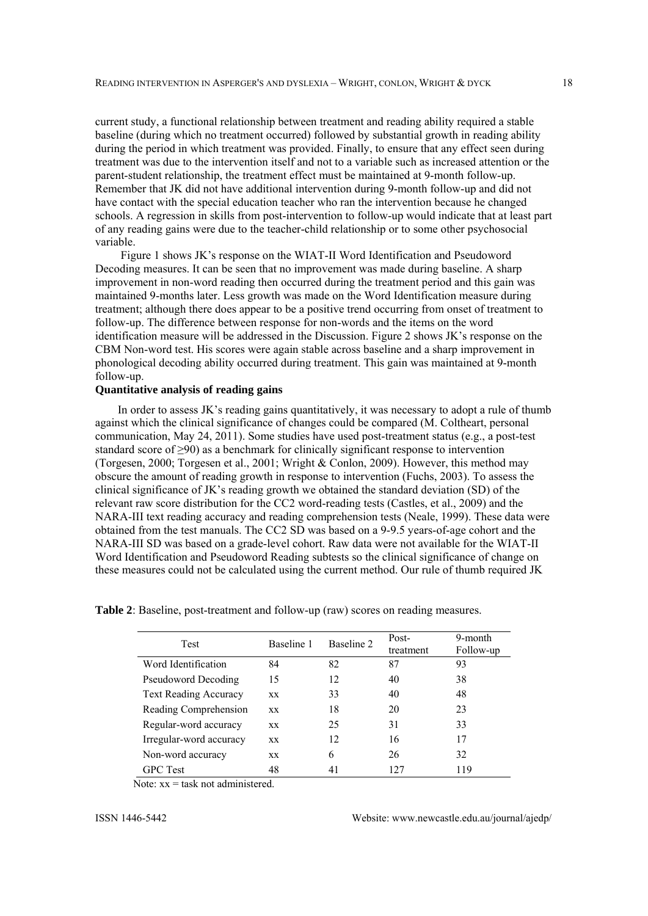current study, a functional relationship between treatment and reading ability required a stable baseline (during which no treatment occurred) followed by substantial growth in reading ability during the period in which treatment was provided. Finally, to ensure that any effect seen during treatment was due to the intervention itself and not to a variable such as increased attention or the parent-student relationship, the treatment effect must be maintained at 9-month follow-up. Remember that JK did not have additional intervention during 9-month follow-up and did not have contact with the special education teacher who ran the intervention because he changed schools. A regression in skills from post-intervention to follow-up would indicate that at least part of any reading gains were due to the teacher-child relationship or to some other psychosocial variable.

 Figure 1 shows JK's response on the WIAT-II Word Identification and Pseudoword Decoding measures. It can be seen that no improvement was made during baseline. A sharp improvement in non-word reading then occurred during the treatment period and this gain was maintained 9-months later. Less growth was made on the Word Identification measure during treatment; although there does appear to be a positive trend occurring from onset of treatment to follow-up. The difference between response for non-words and the items on the word identification measure will be addressed in the Discussion. Figure 2 shows JK's response on the CBM Non-word test. His scores were again stable across baseline and a sharp improvement in phonological decoding ability occurred during treatment. This gain was maintained at 9-month follow-up.

# **Quantitative analysis of reading gains**

In order to assess JK's reading gains quantitatively, it was necessary to adopt a rule of thumb against which the clinical significance of changes could be compared (M. Coltheart, personal communication, May 24, 2011). Some studies have used post-treatment status (e.g., a post-test standard score of  $\geq 90$ ) as a benchmark for clinically significant response to intervention (Torgesen, 2000; Torgesen et al., 2001; Wright & Conlon, 2009). However, this method may obscure the amount of reading growth in response to intervention (Fuchs, 2003). To assess the clinical significance of JK's reading growth we obtained the standard deviation (SD) of the relevant raw score distribution for the CC2 word-reading tests (Castles, et al., 2009) and the NARA-III text reading accuracy and reading comprehension tests (Neale, 1999). These data were obtained from the test manuals. The CC2 SD was based on a 9-9.5 years-of-age cohort and the NARA-III SD was based on a grade-level cohort. Raw data were not available for the WIAT-II Word Identification and Pseudoword Reading subtests so the clinical significance of change on these measures could not be calculated using the current method. Our rule of thumb required JK

| Test                         | Baseline 1 | Baseline 2 | Post-<br>treatment | 9-month<br>Follow-up |
|------------------------------|------------|------------|--------------------|----------------------|
| Word Identification          | 84         | 82         | 87                 | 93                   |
| <b>Pseudoword Decoding</b>   | 15         | 12         | 40                 | 38                   |
| <b>Text Reading Accuracy</b> | XX.        | 33         | 40                 | 48                   |
| Reading Comprehension        | <b>XX</b>  | 18         | 20                 | 23                   |
| Regular-word accuracy        | <b>XX</b>  | 25         | 31                 | 33                   |
| Irregular-word accuracy      | XX.        | 12         | 16                 | 17                   |
| Non-word accuracy            | XX.        | 6          | 26                 | 32                   |
| <b>GPC</b> Test              | 48         | 41         | 127                | 119                  |

**Table 2**: Baseline, post-treatment and follow-up (raw) scores on reading measures.

Note:  $xx =$  task not administered.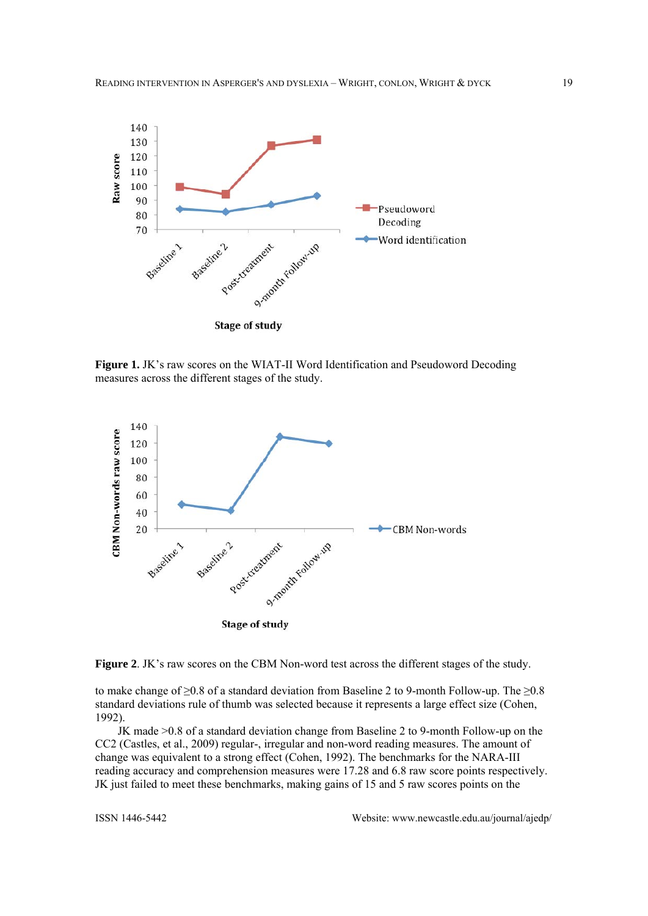

**Figure 1.** JK's raw scores on the WIAT-II Word Identification and Pseudoword Decoding measures across the different stages of the study.





to make change of  $\geq 0.8$  of a standard deviation from Baseline 2 to 9-month Follow-up. The  $\geq 0.8$ standard deviations rule of thumb was selected because it represents a large effect size (Cohen, 1992).

JK made >0.8 of a standard deviation change from Baseline 2 to 9-month Follow-up on the CC2 (Castles, et al., 2009) regular-, irregular and non-word reading measures. The amount of change was equivalent to a strong effect (Cohen, 1992). The benchmarks for the NARA-III reading accuracy and comprehension measures were 17.28 and 6.8 raw score points respectively. JK just failed to meet these benchmarks, making gains of 15 and 5 raw scores points on the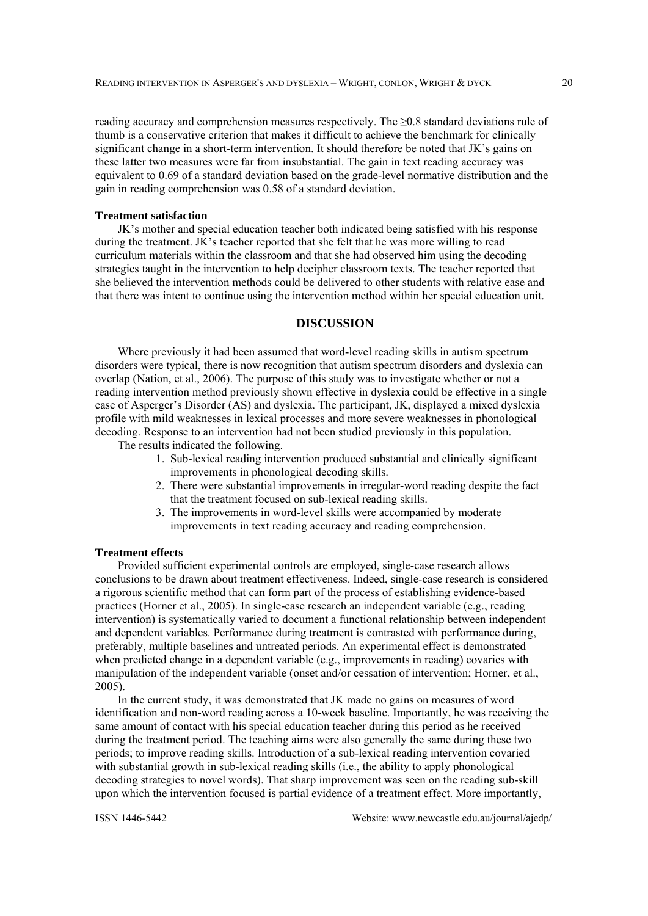reading accuracy and comprehension measures respectively. The  $\geq 0.8$  standard deviations rule of thumb is a conservative criterion that makes it difficult to achieve the benchmark for clinically significant change in a short-term intervention. It should therefore be noted that JK's gains on these latter two measures were far from insubstantial. The gain in text reading accuracy was equivalent to 0.69 of a standard deviation based on the grade-level normative distribution and the gain in reading comprehension was 0.58 of a standard deviation.

#### **Treatment satisfaction**

JK's mother and special education teacher both indicated being satisfied with his response during the treatment. JK's teacher reported that she felt that he was more willing to read curriculum materials within the classroom and that she had observed him using the decoding strategies taught in the intervention to help decipher classroom texts. The teacher reported that she believed the intervention methods could be delivered to other students with relative ease and that there was intent to continue using the intervention method within her special education unit.

# **DISCUSSION**

Where previously it had been assumed that word-level reading skills in autism spectrum disorders were typical, there is now recognition that autism spectrum disorders and dyslexia can overlap (Nation, et al., 2006). The purpose of this study was to investigate whether or not a reading intervention method previously shown effective in dyslexia could be effective in a single case of Asperger's Disorder (AS) and dyslexia. The participant, JK, displayed a mixed dyslexia profile with mild weaknesses in lexical processes and more severe weaknesses in phonological decoding. Response to an intervention had not been studied previously in this population.

The results indicated the following.

- 1. Sub-lexical reading intervention produced substantial and clinically significant improvements in phonological decoding skills.
- 2. There were substantial improvements in irregular-word reading despite the fact that the treatment focused on sub-lexical reading skills.
- 3. The improvements in word-level skills were accompanied by moderate improvements in text reading accuracy and reading comprehension.

#### **Treatment effects**

Provided sufficient experimental controls are employed, single-case research allows conclusions to be drawn about treatment effectiveness. Indeed, single-case research is considered a rigorous scientific method that can form part of the process of establishing evidence-based practices (Horner et al., 2005). In single-case research an independent variable (e.g., reading intervention) is systematically varied to document a functional relationship between independent and dependent variables. Performance during treatment is contrasted with performance during, preferably, multiple baselines and untreated periods. An experimental effect is demonstrated when predicted change in a dependent variable (e.g., improvements in reading) covaries with manipulation of the independent variable (onset and/or cessation of intervention; Horner, et al., 2005).

In the current study, it was demonstrated that JK made no gains on measures of word identification and non-word reading across a 10-week baseline. Importantly, he was receiving the same amount of contact with his special education teacher during this period as he received during the treatment period. The teaching aims were also generally the same during these two periods; to improve reading skills. Introduction of a sub-lexical reading intervention covaried with substantial growth in sub-lexical reading skills (i.e., the ability to apply phonological decoding strategies to novel words). That sharp improvement was seen on the reading sub-skill upon which the intervention focused is partial evidence of a treatment effect. More importantly,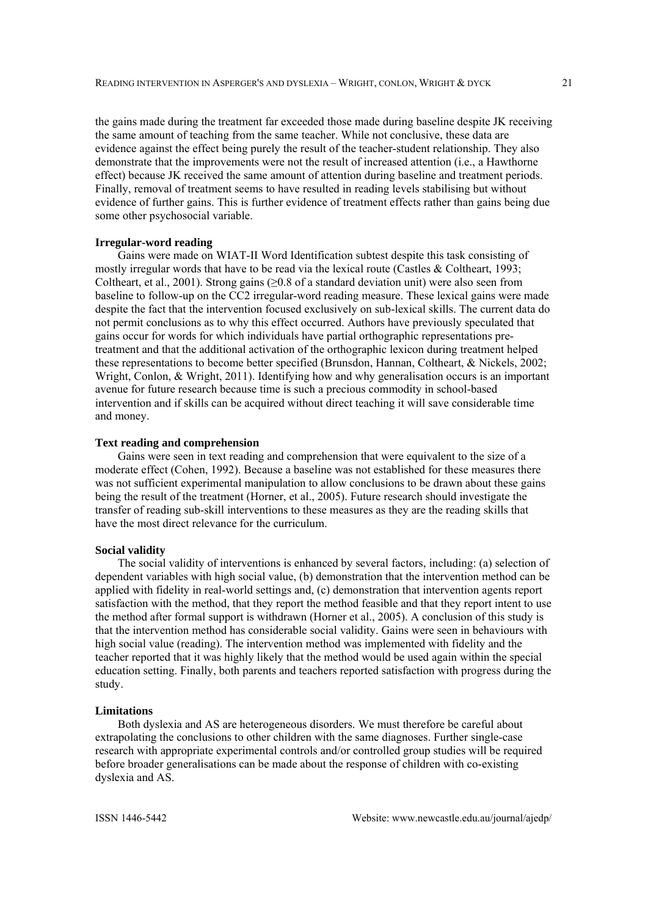the gains made during the treatment far exceeded those made during baseline despite JK receiving the same amount of teaching from the same teacher. While not conclusive, these data are evidence against the effect being purely the result of the teacher-student relationship. They also demonstrate that the improvements were not the result of increased attention (i.e., a Hawthorne effect) because JK received the same amount of attention during baseline and treatment periods. Finally, removal of treatment seems to have resulted in reading levels stabilising but without evidence of further gains. This is further evidence of treatment effects rather than gains being due some other psychosocial variable.

#### **Irregular-word reading**

Gains were made on WIAT-II Word Identification subtest despite this task consisting of mostly irregular words that have to be read via the lexical route (Castles & Coltheart, 1993; Coltheart, et al., 2001). Strong gains  $(≥0.8$  of a standard deviation unit) were also seen from baseline to follow-up on the CC2 irregular-word reading measure. These lexical gains were made despite the fact that the intervention focused exclusively on sub-lexical skills. The current data do not permit conclusions as to why this effect occurred. Authors have previously speculated that gains occur for words for which individuals have partial orthographic representations pretreatment and that the additional activation of the orthographic lexicon during treatment helped these representations to become better specified (Brunsdon, Hannan, Coltheart, & Nickels, 2002; Wright, Conlon, & Wright, 2011). Identifying how and why generalisation occurs is an important avenue for future research because time is such a precious commodity in school-based intervention and if skills can be acquired without direct teaching it will save considerable time and money.

### **Text reading and comprehension**

Gains were seen in text reading and comprehension that were equivalent to the size of a moderate effect (Cohen, 1992). Because a baseline was not established for these measures there was not sufficient experimental manipulation to allow conclusions to be drawn about these gains being the result of the treatment (Horner, et al., 2005). Future research should investigate the transfer of reading sub-skill interventions to these measures as they are the reading skills that have the most direct relevance for the curriculum.

#### **Social validity**

The social validity of interventions is enhanced by several factors, including: (a) selection of dependent variables with high social value, (b) demonstration that the intervention method can be applied with fidelity in real-world settings and, (c) demonstration that intervention agents report satisfaction with the method, that they report the method feasible and that they report intent to use the method after formal support is withdrawn (Horner et al., 2005). A conclusion of this study is that the intervention method has considerable social validity. Gains were seen in behaviours with high social value (reading). The intervention method was implemented with fidelity and the teacher reported that it was highly likely that the method would be used again within the special education setting. Finally, both parents and teachers reported satisfaction with progress during the study.

#### **Limitations**

Both dyslexia and AS are heterogeneous disorders. We must therefore be careful about extrapolating the conclusions to other children with the same diagnoses. Further single-case research with appropriate experimental controls and/or controlled group studies will be required before broader generalisations can be made about the response of children with co-existing dyslexia and AS.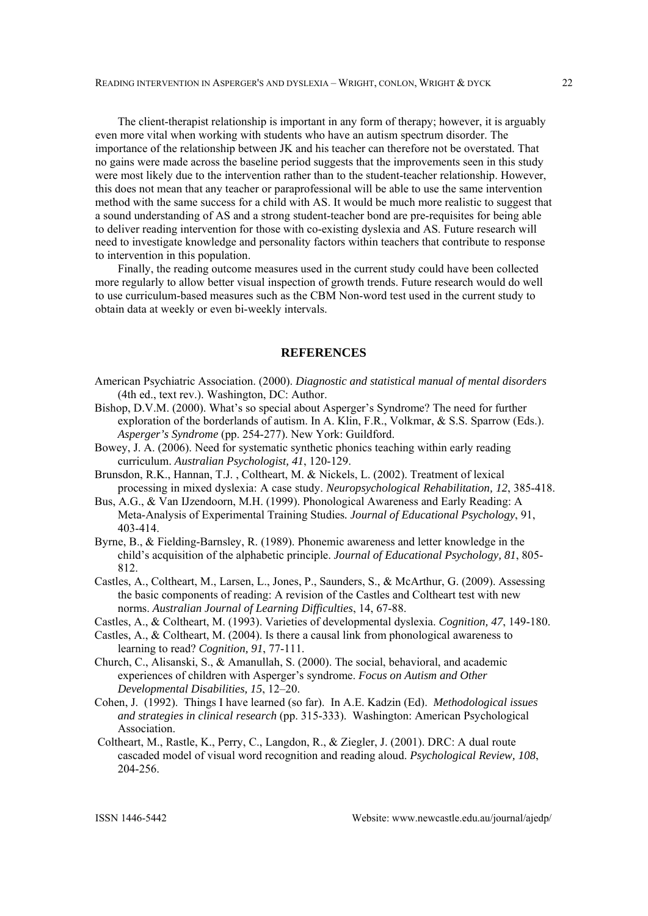The client-therapist relationship is important in any form of therapy; however, it is arguably even more vital when working with students who have an autism spectrum disorder. The importance of the relationship between JK and his teacher can therefore not be overstated. That no gains were made across the baseline period suggests that the improvements seen in this study were most likely due to the intervention rather than to the student-teacher relationship. However, this does not mean that any teacher or paraprofessional will be able to use the same intervention method with the same success for a child with AS. It would be much more realistic to suggest that a sound understanding of AS and a strong student-teacher bond are pre-requisites for being able to deliver reading intervention for those with co-existing dyslexia and AS. Future research will need to investigate knowledge and personality factors within teachers that contribute to response to intervention in this population.

Finally, the reading outcome measures used in the current study could have been collected more regularly to allow better visual inspection of growth trends. Future research would do well to use curriculum-based measures such as the CBM Non-word test used in the current study to obtain data at weekly or even bi-weekly intervals.

# **REFERENCES**

- American Psychiatric Association. (2000). *Diagnostic and statistical manual of mental disorders* (4th ed., text rev.). Washington, DC: Author.
- Bishop, D.V.M. (2000). What's so special about Asperger's Syndrome? The need for further exploration of the borderlands of autism. In A. Klin, F.R., Volkmar, & S.S. Sparrow (Eds.). *Asperger's Syndrome* (pp. 254-277). New York: Guildford.
- Bowey, J. A. (2006). Need for systematic synthetic phonics teaching within early reading curriculum. *Australian Psychologist, 41*, 120-129.
- Brunsdon, R.K., Hannan, T.J. , Coltheart, M. & Nickels, L. (2002). Treatment of lexical processing in mixed dyslexia: A case study. *Neuropsychological Rehabilitation, 12*, 385-418.
- Bus, A.G., & Van IJzendoorn, M.H. (1999). Phonological Awareness and Early Reading: A Meta-Analysis of Experimental Training Studies*. Journal of Educational Psychology*, 91, 403-414.
- Byrne, B., & Fielding-Barnsley, R. (1989). Phonemic awareness and letter knowledge in the child's acquisition of the alphabetic principle. *Journal of Educational Psychology, 81*, 805- 812.
- Castles, A., Coltheart, M., Larsen, L., Jones, P., Saunders, S., & McArthur, G. (2009). Assessing the basic components of reading: A revision of the Castles and Coltheart test with new norms. *Australian Journal of Learning Difficulties*, 14, 67-88.
- Castles, A., & Coltheart, M. (1993). Varieties of developmental dyslexia. *Cognition, 47*, 149-180.
- Castles, A., & Coltheart, M. (2004). Is there a causal link from phonological awareness to learning to read? *Cognition, 91*, 77-111.
- Church, C., Alisanski, S., & Amanullah, S. (2000). The social, behavioral, and academic experiences of children with Asperger's syndrome. *Focus on Autism and Other Developmental Disabilities, 15*, 12–20.
- Cohen, J. (1992). Things I have learned (so far). In A.E. Kadzin (Ed). *Methodological issues and strategies in clinical research* (pp. 315-333). Washington: American Psychological Association.
- Coltheart, M., Rastle, K., Perry, C., Langdon, R., & Ziegler, J. (2001). DRC: A dual route cascaded model of visual word recognition and reading aloud. *Psychological Review, 108*, 204-256.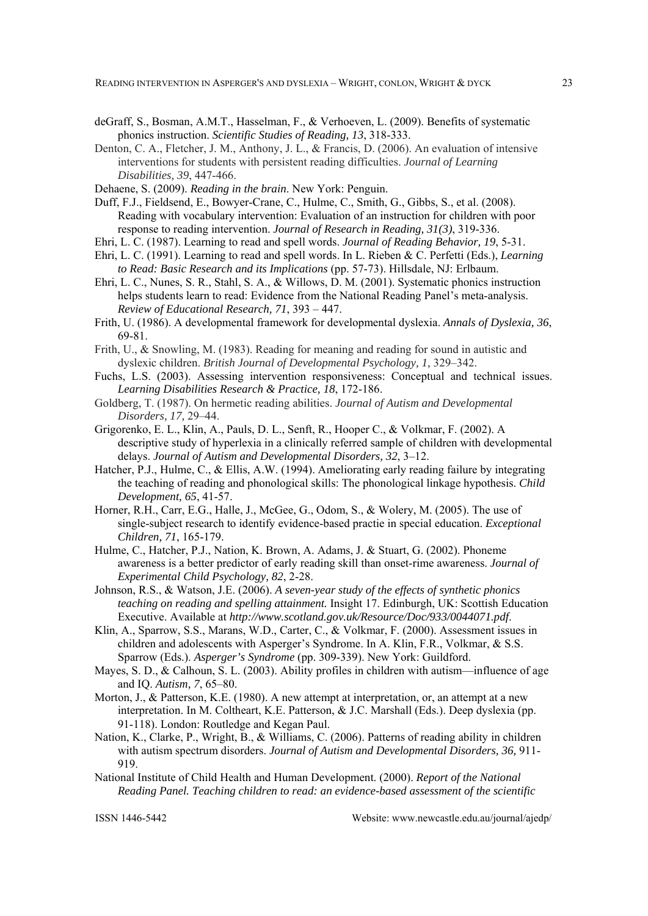- deGraff, S., Bosman, A.M.T., Hasselman, F., & Verhoeven, L. (2009). Benefits of systematic phonics instruction. *Scientific Studies of Reading, 13*, 318-333.
- Denton, C. A., Fletcher, J. M., Anthony, J. L., & Francis, D. (2006). An evaluation of intensive interventions for students with persistent reading difficulties. *Journal of Learning Disabilities, 39*, 447-466.
- Dehaene, S. (2009). *Reading in the brain*. New York: Penguin.

Duff, F.J., Fieldsend, E., Bowyer-Crane, C., Hulme, C., Smith, G., Gibbs, S., et al. (2008). Reading with vocabulary intervention: Evaluation of an instruction for children with poor response to reading intervention. *Journal of Research in Reading, 31(3)*, 319-336.

- Ehri, L. C. (1987). Learning to read and spell words. *Journal of Reading Behavior, 19*, 5-31.
- Ehri, L. C. (1991). Learning to read and spell words. In L. Rieben & C. Perfetti (Eds.), *Learning to Read: Basic Research and its Implications* (pp. 57-73). Hillsdale, NJ: Erlbaum.
- Ehri, L. C., Nunes, S. R., Stahl, S. A., & Willows, D. M. (2001). Systematic phonics instruction helps students learn to read: Evidence from the National Reading Panel's meta-analysis. *Review of Educational Research, 71*, 393 – 447.
- Frith, U. (1986). A developmental framework for developmental dyslexia. *Annals of Dyslexia, 36*, 69-81.
- Frith, U., & Snowling, M. (1983). Reading for meaning and reading for sound in autistic and dyslexic children. *British Journal of Developmental Psychology, 1,* 329–342.
- Fuchs, L.S. (2003). Assessing intervention responsiveness: Conceptual and technical issues. *Learning Disabilities Research & Practice, 18*, 172-186.
- Goldberg, T. (1987). On hermetic reading abilities. *Journal of Autism and Developmental Disorders, 17,* 29–44.
- Grigorenko, E. L., Klin, A., Pauls, D. L., Senft, R., Hooper C., & Volkmar, F. (2002). A descriptive study of hyperlexia in a clinically referred sample of children with developmental delays. *Journal of Autism and Developmental Disorders, 32*, 3–12.
- Hatcher, P.J., Hulme, C., & Ellis, A.W. (1994). Ameliorating early reading failure by integrating the teaching of reading and phonological skills: The phonological linkage hypothesis. *Child Development, 65*, 41-57.
- Horner, R.H., Carr, E.G., Halle, J., McGee, G., Odom, S., & Wolery, M. (2005). The use of single-subject research to identify evidence-based practie in special education. *Exceptional Children, 71*, 165-179.
- Hulme, C., Hatcher, P.J., Nation, K. Brown, A. Adams, J. & Stuart, G. (2002). Phoneme awareness is a better predictor of early reading skill than onset-rime awareness. *Journal of Experimental Child Psychology, 82*, 2-28.
- Johnson, R.S., & Watson, J.E. (2006). *A seven-year study of the effects of synthetic phonics teaching on reading and spelling attainment.* Insight 17. Edinburgh, UK: Scottish Education Executive. Available at *http://www.scotland.gov.uk/Resource/Doc/933/0044071.pdf*.
- Klin, A., Sparrow, S.S., Marans, W.D., Carter, C., & Volkmar, F. (2000). Assessment issues in children and adolescents with Asperger's Syndrome. In A. Klin, F.R., Volkmar, & S.S. Sparrow (Eds.). *Asperger's Syndrome* (pp. 309-339). New York: Guildford.
- Mayes, S. D., & Calhoun, S. L. (2003). Ability profiles in children with autism—influence of age and IQ. *Autism, 7*, 65–80.
- Morton, J., & Patterson, K.E. (1980). A new attempt at interpretation, or, an attempt at a new interpretation. In M. Coltheart, K.E. Patterson, & J.C. Marshall (Eds.). Deep dyslexia (pp. 91-118). London: Routledge and Kegan Paul.
- Nation, K., Clarke, P., Wright, B., & Williams, C. (2006). Patterns of reading ability in children with autism spectrum disorders. *Journal of Autism and Developmental Disorders, 36,* 911- 919.
- National Institute of Child Health and Human Development. (2000). *Report of the National Reading Panel. Teaching children to read: an evidence-based assessment of the scientific*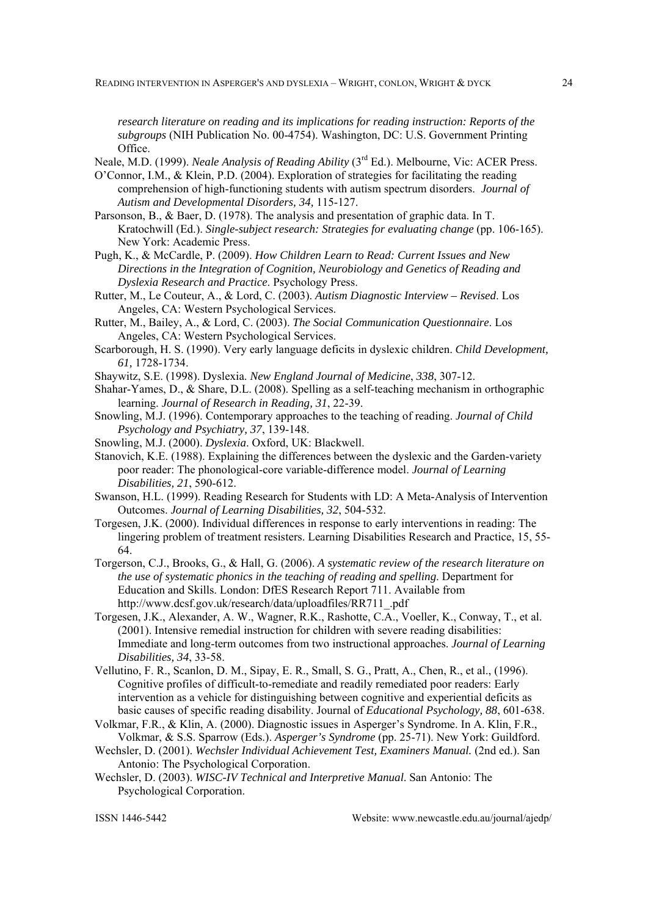*research literature on reading and its implications for reading instruction: Reports of the subgroups* (NIH Publication No. 00-4754). Washington, DC: U.S. Government Printing Office.

Neale, M.D. (1999). *Neale Analysis of Reading Ability* (3rd Ed.). Melbourne, Vic: ACER Press.

- O'Connor, I.M., & Klein, P.D. (2004). Exploration of strategies for facilitating the reading comprehension of high-functioning students with autism spectrum disorders. *Journal of Autism and Developmental Disorders, 34,* 115-127.
- Parsonson, B., & Baer, D. (1978). The analysis and presentation of graphic data. In T. Kratochwill (Ed.). *Single-subject research: Strategies for evaluating change* (pp. 106-165). New York: Academic Press.
- Pugh, K., & McCardle, P. (2009). *How Children Learn to Read: Current Issues and New Directions in the Integration of Cognition, Neurobiology and Genetics of Reading and Dyslexia Research and Practice*. Psychology Press.
- Rutter, M., Le Couteur, A., & Lord, C. (2003). *Autism Diagnostic Interview Revised*. Los Angeles, CA: Western Psychological Services.

Rutter, M., Bailey, A., & Lord, C. (2003). *The Social Communication Questionnaire*. Los Angeles, CA: Western Psychological Services.

- Scarborough, H. S. (1990). Very early language deficits in dyslexic children. *Child Development, 61,* 1728-1734.
- Shaywitz, S.E. (1998). Dyslexia. *New England Journal of Medicine*, *338*, 307-12.
- Shahar-Yames, D., & Share, D.L. (2008). Spelling as a self-teaching mechanism in orthographic learning. *Journal of Research in Reading, 31*, 22-39.
- Snowling, M.J. (1996). Contemporary approaches to the teaching of reading. *Journal of Child Psychology and Psychiatry, 37*, 139-148.
- Snowling, M.J. (2000). *Dyslexia*. Oxford, UK: Blackwell.
- Stanovich, K.E. (1988). Explaining the differences between the dyslexic and the Garden-variety poor reader: The phonological-core variable-difference model. *Journal of Learning Disabilities, 21*, 590-612.
- Swanson, H.L. (1999). Reading Research for Students with LD: A Meta-Analysis of Intervention Outcomes. *Journal of Learning Disabilities, 32*, 504-532.
- Torgesen, J.K. (2000). Individual differences in response to early interventions in reading: The lingering problem of treatment resisters. Learning Disabilities Research and Practice, 15, 55- 64.
- Torgerson, C.J., Brooks, G., & Hall, G. (2006). *A systematic review of the research literature on the use of systematic phonics in the teaching of reading and spelling*. Department for Education and Skills. London: DfES Research Report 711. Available from http://www.dcsf.gov.uk/research/data/uploadfiles/RR711\_.pdf
- Torgesen, J.K., Alexander, A. W., Wagner, R.K., Rashotte, C.A., Voeller, K., Conway, T., et al. (2001). Intensive remedial instruction for children with severe reading disabilities: Immediate and long-term outcomes from two instructional approaches. *Journal of Learning Disabilities, 34*, 33-58.
- Vellutino, F. R., Scanlon, D. M., Sipay, E. R., Small, S. G., Pratt, A., Chen, R., et al., (1996). Cognitive profiles of difficult-to-remediate and readily remediated poor readers: Early intervention as a vehicle for distinguishing between cognitive and experiential deficits as basic causes of specific reading disability. Journal of *Educational Psychology, 88*, 601-638.
- Volkmar, F.R., & Klin, A. (2000). Diagnostic issues in Asperger's Syndrome. In A. Klin, F.R., Volkmar, & S.S. Sparrow (Eds.). *Asperger's Syndrome* (pp. 25-71). New York: Guildford.
- Wechsler, D. (2001). *Wechsler Individual Achievement Test, Examiners Manual.* (2nd ed.). San Antonio: The Psychological Corporation.
- Wechsler, D. (2003). *WISC-IV Technical and Interpretive Manual*. San Antonio: The Psychological Corporation.